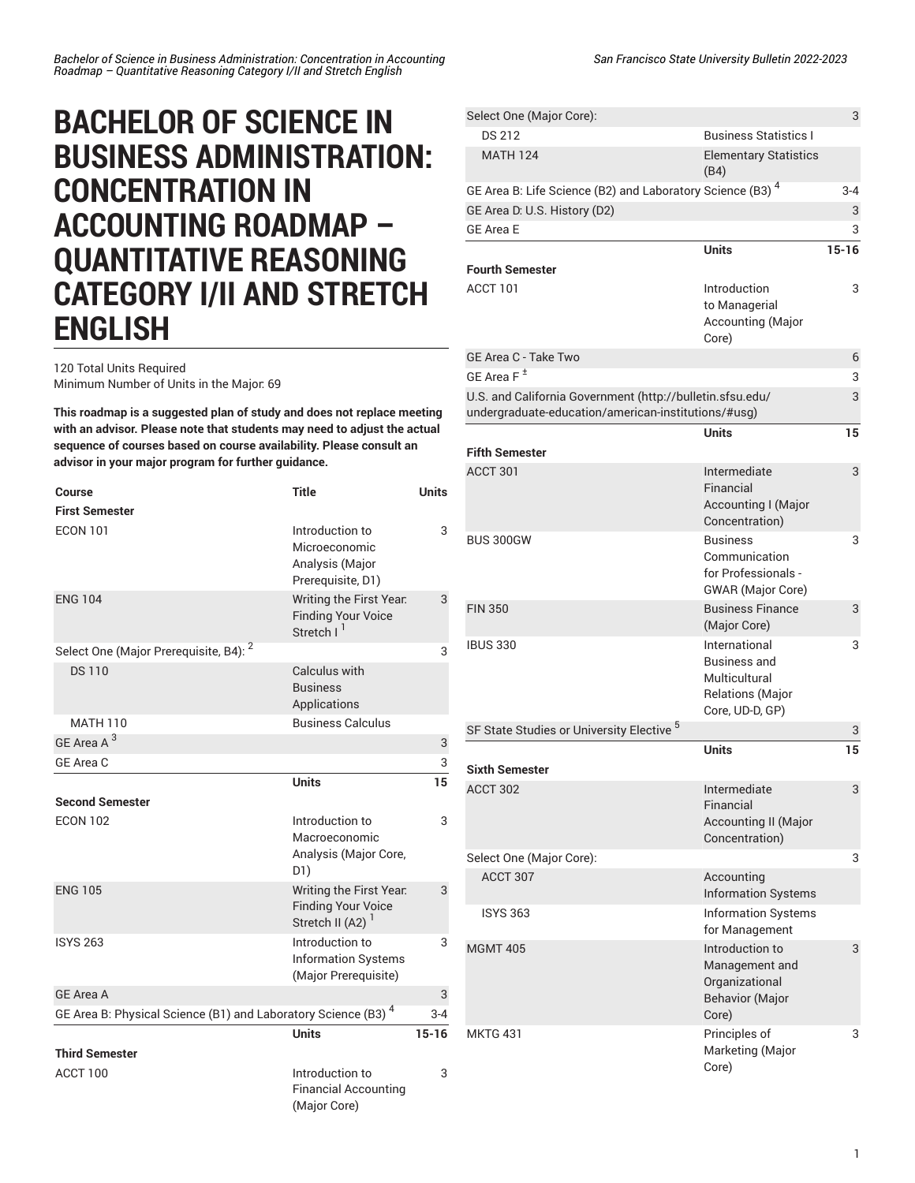## **BACHELOR OF SCIENCE IN BUSINESS ADMINISTRATION: CONCENTRATION IN ACCOUNTING ROADMAP – QUANTITATIVE REASONING CATEGORY I/II AND STRETCH ENGLISH**

120 Total Units Required Minimum Number of Units in the Major: 69

**This roadmap is a suggested plan of study and does not replace meeting with an advisor. Please note that students may need to adjust the actual sequence of courses based on course availability. Please consult an advisor in your major program for further guidance.**

| Course                                                            | <b>Title</b>                                                                         | <b>Units</b> |
|-------------------------------------------------------------------|--------------------------------------------------------------------------------------|--------------|
| <b>First Semester</b>                                             |                                                                                      |              |
| <b>ECON 101</b>                                                   | Introduction to<br>Microeconomic<br>Analysis (Major<br>Prerequisite, D1)             | 3            |
| <b>ENG 104</b>                                                    | Writing the First Year.<br><b>Finding Your Voice</b><br>Stretch I <sup>1</sup>       | 3            |
| Select One (Major Prerequisite, B4): <sup>2</sup>                 |                                                                                      | 3            |
| <b>DS110</b>                                                      | Calculus with<br><b>Business</b><br>Applications                                     |              |
| MATH 110                                                          | <b>Business Calculus</b>                                                             |              |
| GE Area A <sup>3</sup>                                            |                                                                                      | 3            |
| GE Area C                                                         |                                                                                      | 3            |
|                                                                   | <b>Units</b>                                                                         | 15           |
| <b>Second Semester</b>                                            |                                                                                      |              |
| <b>ECON 102</b>                                                   | Introduction to<br>Macroeconomic<br>Analysis (Major Core,<br>D1)                     | 3            |
| <b>ENG 105</b>                                                    | Writing the First Year.<br><b>Finding Your Voice</b><br>Stretch II (A2) <sup>1</sup> | 3            |
| <b>ISYS 263</b>                                                   | Introduction to<br><b>Information Systems</b><br>(Major Prerequisite)                | 3            |
| <b>GE Area A</b>                                                  |                                                                                      | 3            |
| GE Area B: Physical Science (B1) and Laboratory Science (B3) $^4$ |                                                                                      | $3 - 4$      |
|                                                                   | <b>Units</b>                                                                         | $15 - 16$    |
| <b>Third Semester</b>                                             |                                                                                      |              |
| ACCT 100                                                          | Introduction to<br><b>Financial Accounting</b><br>(Major Core)                       | 3            |

| Select One (Major Core):                                                                                         |                                                                                                     | 3         |
|------------------------------------------------------------------------------------------------------------------|-----------------------------------------------------------------------------------------------------|-----------|
| DS 212                                                                                                           | <b>Business Statistics L</b>                                                                        |           |
| <b>MATH 124</b>                                                                                                  | <b>Elementary Statistics</b><br>(B4)                                                                |           |
| GE Area B: Life Science (B2) and Laboratory Science (B3) <sup>4</sup>                                            |                                                                                                     | $3 - 4$   |
| GE Area D. U.S. History (D2)                                                                                     |                                                                                                     | 3         |
| <b>GE Area E</b>                                                                                                 |                                                                                                     | 3         |
|                                                                                                                  | <b>Units</b>                                                                                        | $15 - 16$ |
| <b>Fourth Semester</b>                                                                                           |                                                                                                     |           |
| ACCT 101                                                                                                         | Introduction<br>to Managerial<br>Accounting (Major<br>Core)                                         | 3         |
| GE Area C - Take Two                                                                                             |                                                                                                     | 6         |
| GE Area F <sup>±</sup>                                                                                           |                                                                                                     | 3         |
| U.S. and California Government (http://bulletin.sfsu.edu/<br>undergraduate-education/american-institutions/#usg) |                                                                                                     | 3         |
|                                                                                                                  | <b>Units</b>                                                                                        | 15        |
| <b>Fifth Semester</b>                                                                                            |                                                                                                     |           |
| ACCT 301                                                                                                         | Intermediate<br>Financial<br><b>Accounting I (Major</b><br>Concentration)                           | 3         |
| <b>BUS 300GW</b>                                                                                                 | <b>Business</b><br>Communication<br>for Professionals -<br><b>GWAR</b> (Major Core)                 | 3         |
| <b>FIN 350</b>                                                                                                   | <b>Business Finance</b><br>(Major Core)                                                             | 3         |
| <b>IBUS 330</b>                                                                                                  | International<br><b>Business and</b><br>Multicultural<br><b>Relations (Major</b><br>Core, UD-D, GP) | 3         |
| SF State Studies or University Elective <sup>5</sup>                                                             |                                                                                                     | 3         |
|                                                                                                                  | Units                                                                                               | 15        |
| <b>Sixth Semester</b>                                                                                            |                                                                                                     |           |
| ACCT 302                                                                                                         | Intermediate<br>Financial<br><b>Accounting II (Major</b><br>Concentration)                          | 3         |
| Select One (Major Core):                                                                                         |                                                                                                     | 3         |
| ACCT 307                                                                                                         | Accounting<br><b>Information Systems</b>                                                            |           |
| <b>ISYS 363</b>                                                                                                  | <b>Information Systems</b><br>for Management                                                        |           |
| <b>MGMT 405</b>                                                                                                  | Introduction to<br>Management and<br>Organizational<br><b>Behavior (Major</b><br>Core)              | 3         |
| <b>MKTG 431</b>                                                                                                  | Principles of<br>Marketing (Major<br>Core)                                                          | 3         |